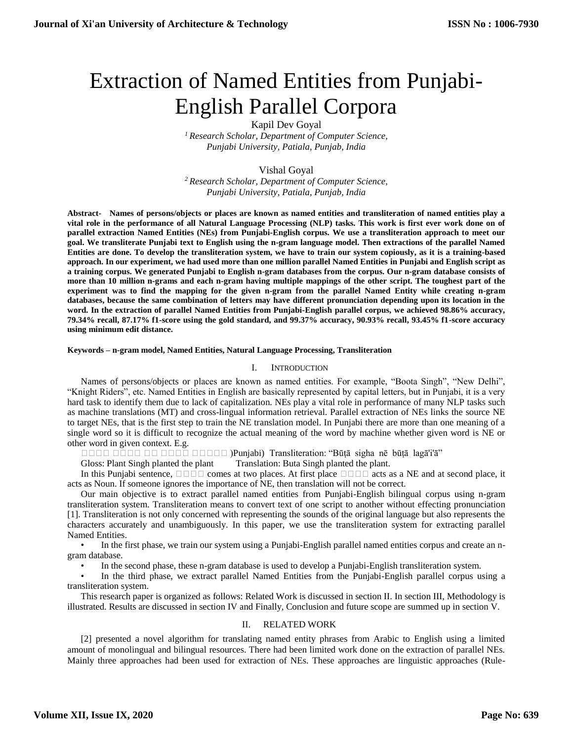# Extraction of Named Entities from Punjabi-English Parallel Corpora

Kapil Dev Goyal

*<sup>1</sup> Research Scholar, Department of Computer Science, Punjabi University, Patiala, Punjab, India*

# Vishal Goyal

*<sup>2</sup> Research Scholar, Department of Computer Science, Punjabi University, Patiala, Punjab, India*

**Abstract- Names of persons/objects or places are known as named entities and transliteration of named entities play a vital role in the performance of all Natural Language Processing (NLP) tasks. This work is first ever work done on of parallel extraction Named Entities (NEs) from Punjabi-English corpus. We use a transliteration approach to meet our goal. We transliterate Punjabi text to English using the n-gram language model. Then extractions of the parallel Named Entities are done. To develop the transliteration system, we have to train our system copiously, as it is a training-based approach. In our experiment, we had used more than one million parallel Named Entities in Punjabi and English script as a training corpus. We generated Punjabi to English n-gram databases from the corpus. Our n-gram database consists of more than 10 million n-grams and each n-gram having multiple mappings of the other script. The toughest part of the experiment was to find the mapping for the given n-gram from the parallel Named Entity while creating n-gram databases, because the same combination of letters may have different pronunciation depending upon its location in the word. In the extraction of parallel Named Entities from Punjabi-English parallel corpus, we achieved 98.86% accuracy, 79.34% recall, 87.17% f1-score using the gold standard, and 99.37% accuracy, 90.93% recall, 93.45% f1-score accuracy using minimum edit distance.**

## **Keywords – n-gram model, Named Entities, Natural Language Processing, Transliteration**

# I. INTRODUCTION

Names of persons/objects or places are known as named entities. For example, "Boota Singh", "New Delhi", "Knight Riders", etc. Named Entities in English are basically represented by capital letters, but in Punjabi, it is a very hard task to identify them due to lack of capitalization. NEs play a vital role in performance of many NLP tasks such as machine translations (MT) and cross-lingual information retrieval. Parallel extraction of NEs links the source NE to target NEs, that is the first step to train the NE translation model. In Punjabi there are more than one meaning of a single word so it is difficult to recognize the actual meaning of the word by machine whether given word is NE or other word in given context. E.g.

ਬਬਬਬ ਬਬਬਬ ਬਬ ਬਬਬਬ ਬਬਬਬਬ (Punjabi) Transliteration: "Būṭā sigha nē būṭā lagā'i'ā"

Gloss: Plant Singh planted the plant Translation: Buta Singh planted the plant.

In this Punjabi sentence,  $\Box \Box \Box$  comes at two places. At first place  $\Box \Box \Box$  acts as a NE and at second place, it acts as Noun. If someone ignores the importance of NE, then translation will not be correct.

Our main objective is to extract parallel named entities from Punjabi-English bilingual corpus using n-gram transliteration system. Transliteration means to convert text of one script to another without effecting pronunciation [1]. Transliteration is not only concerned with representing the sounds of the original language but also represents the characters accurately and unambiguously. In this paper, we use the transliteration system for extracting parallel Named Entities.

In the first phase, we train our system using a Punjabi-English parallel named entities corpus and create an ngram database.

• In the second phase, these n-gram database is used to develop a Punjabi-English transliteration system.

• In the third phase, we extract parallel Named Entities from the Punjabi-English parallel corpus using a transliteration system.

This research paper is organized as follows: Related Work is discussed in section II. In section III, Methodology is illustrated. Results are discussed in section IV and Finally, Conclusion and future scope are summed up in section V.

## II. RELATED WORK

[2] presented a novel algorithm for translating named entity phrases from Arabic to English using a limited amount of monolingual and bilingual resources. There had been limited work done on the extraction of parallel NEs. Mainly three approaches had been used for extraction of NEs. These approaches are linguistic approaches (Rule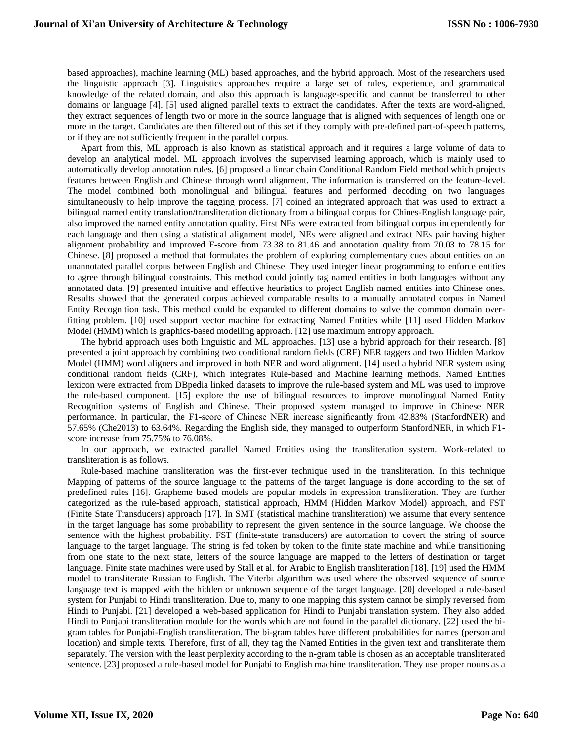based approaches), machine learning (ML) based approaches, and the hybrid approach. Most of the researchers used the linguistic approach [3]. Linguistics approaches require a large set of rules, experience, and grammatical knowledge of the related domain, and also this approach is language-specific and cannot be transferred to other domains or language [4]. [5] used aligned parallel texts to extract the candidates. After the texts are word-aligned, they extract sequences of length two or more in the source language that is aligned with sequences of length one or more in the target. Candidates are then filtered out of this set if they comply with pre-defined part-of-speech patterns, or if they are not sufficiently frequent in the parallel corpus.

Apart from this, ML approach is also known as statistical approach and it requires a large volume of data to develop an analytical model. ML approach involves the supervised learning approach, which is mainly used to automatically develop annotation rules. [6] proposed a linear chain Conditional Random Field method which projects features between English and Chinese through word alignment. The information is transferred on the feature-level. The model combined both monolingual and bilingual features and performed decoding on two languages simultaneously to help improve the tagging process. [7] coined an integrated approach that was used to extract a bilingual named entity translation/transliteration dictionary from a bilingual corpus for Chines-English language pair, also improved the named entity annotation quality. First NEs were extracted from bilingual corpus independently for each language and then using a statistical alignment model, NEs were aligned and extract NEs pair having higher alignment probability and improved F-score from 73.38 to 81.46 and annotation quality from 70.03 to 78.15 for Chinese. [8] proposed a method that formulates the problem of exploring complementary cues about entities on an unannotated parallel corpus between English and Chinese. They used integer linear programming to enforce entities to agree through bilingual constraints. This method could jointly tag named entities in both languages without any annotated data. [9] presented intuitive and effective heuristics to project English named entities into Chinese ones. Results showed that the generated corpus achieved comparable results to a manually annotated corpus in Named Entity Recognition task. This method could be expanded to different domains to solve the common domain overfitting problem. [10] used support vector machine for extracting Named Entities while [11] used Hidden Markov Model (HMM) which is graphics-based modelling approach. [12] use maximum entropy approach.

The hybrid approach uses both linguistic and ML approaches. [13] use a hybrid approach for their research. [8] presented a joint approach by combining two conditional random fields (CRF) NER taggers and two Hidden Markov Model (HMM) word aligners and improved in both NER and word alignment. [14] used a hybrid NER system using conditional random fields (CRF), which integrates Rule-based and Machine learning methods. Named Entities lexicon were extracted from DBpedia linked datasets to improve the rule-based system and ML was used to improve the rule-based component. [15] explore the use of bilingual resources to improve monolingual Named Entity Recognition systems of English and Chinese. Their proposed system managed to improve in Chinese NER performance. In particular, the F1-score of Chinese NER increase significantly from 42.83% (StanfordNER) and 57.65% (Che2013) to 63.64%. Regarding the English side, they managed to outperform StanfordNER, in which F1 score increase from 75.75% to 76.08%.

In our approach, we extracted parallel Named Entities using the transliteration system. Work-related to transliteration is as follows.

Rule-based machine transliteration was the first-ever technique used in the transliteration. In this technique Mapping of patterns of the source language to the patterns of the target language is done according to the set of predefined rules [16]. Grapheme based models are popular models in expression transliteration. They are further categorized as the rule-based approach, statistical approach, HMM (Hidden Markov Model) approach, and FST (Finite State Transducers) approach [17]. In SMT (statistical machine transliteration) we assume that every sentence in the target language has some probability to represent the given sentence in the source language. We choose the sentence with the highest probability. FST (finite-state transducers) are automation to covert the string of source language to the target language. The string is fed token by token to the finite state machine and while transitioning from one state to the next state, letters of the source language are mapped to the letters of destination or target language. Finite state machines were used by Stall et al. for Arabic to English transliteration [18]. [19] used the HMM model to transliterate Russian to English. The Viterbi algorithm was used where the observed sequence of source language text is mapped with the hidden or unknown sequence of the target language. [20] developed a rule-based system for Punjabi to Hindi transliteration. Due to, many to one mapping this system cannot be simply reversed from Hindi to Punjabi. [21] developed a web-based application for Hindi to Punjabi translation system. They also added Hindi to Punjabi transliteration module for the words which are not found in the parallel dictionary. [22] used the bigram tables for Punjabi-English transliteration. The bi-gram tables have different probabilities for names (person and location) and simple texts. Therefore, first of all, they tag the Named Entities in the given text and transliterate them separately. The version with the least perplexity according to the n-gram table is chosen as an acceptable transliterated sentence. [23] proposed a rule-based model for Punjabi to English machine transliteration. They use proper nouns as a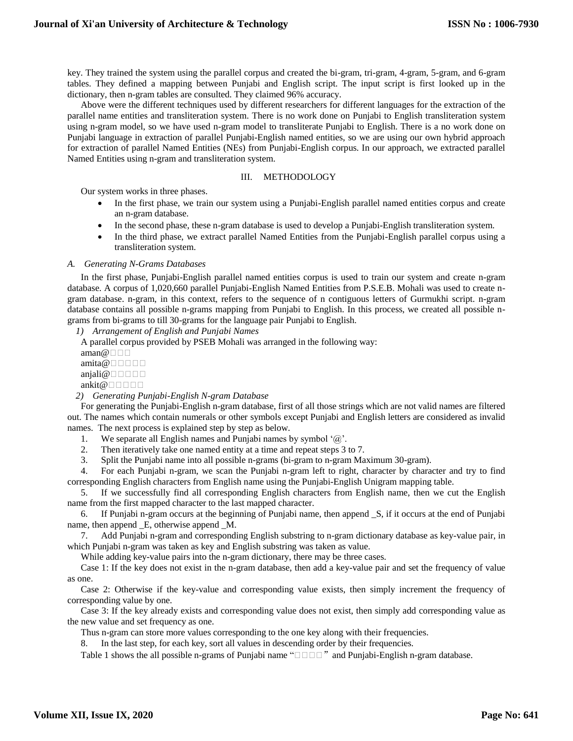key. They trained the system using the parallel corpus and created the bi-gram, tri-gram, 4-gram, 5-gram, and 6-gram tables. They defined a mapping between Punjabi and English script. The input script is first looked up in the dictionary, then n-gram tables are consulted. They claimed 96% accuracy.

Above were the different techniques used by different researchers for different languages for the extraction of the parallel name entities and transliteration system. There is no work done on Punjabi to English transliteration system using n-gram model, so we have used n-gram model to transliterate Punjabi to English. There is a no work done on Punjabi language in extraction of parallel Punjabi-English named entities, so we are using our own hybrid approach for extraction of parallel Named Entities (NEs) from Punjabi-English corpus. In our approach, we extracted parallel Named Entities using n-gram and transliteration system.

#### III. METHODOLOGY

Our system works in three phases.

- In the first phase, we train our system using a Punjabi-English parallel named entities corpus and create an n-gram database.
- In the second phase, these n-gram database is used to develop a Punjabi-English transliteration system.
- In the third phase, we extract parallel Named Entities from the Punjabi-English parallel corpus using a transliteration system.

#### *A. Generating N-Grams Databases*

In the first phase, Punjabi-English parallel named entities corpus is used to train our system and create n-gram database. A corpus of 1,020,660 parallel Punjabi-English Named Entities from P.S.E.B. Mohali was used to create ngram database. n-gram, in this context, refers to the sequence of n contiguous letters of Gurmukhi script. n-gram database contains all possible n-grams mapping from Punjabi to English. In this process, we created all possible ngrams from bi-grams to till 30-grams for the language pair Punjabi to English.

*1) Arrangement of English and Punjabi Names*

A parallel corpus provided by PSEB Mohali was arranged in the following way:

| $\text{aman} @ \sqcap \sqcap \sqcap$      |
|-------------------------------------------|
| amita@ $\Box$ $\Box$ $\Box$ $\Box$ $\Box$ |
| anjali@ $\Box$ $\Box$ $\Box$ $\Box$       |
| ankit@ $\Box$ $\Box$ $\Box$ $\Box$ $\Box$ |

#### *2) Generating Punjabi-English N-gram Database*

For generating the Punjabi-English n-gram database, first of all those strings which are not valid names are filtered out. The names which contain numerals or other symbols except Punjabi and English letters are considered as invalid names. The next process is explained step by step as below.

1. We separate all English names and Punjabi names by symbol '@'.

2. Then iteratively take one named entity at a time and repeat steps 3 to 7.

3. Split the Punjabi name into all possible n-grams (bi-gram to n-gram Maximum 30-gram).

4. For each Punjabi n-gram, we scan the Punjabi n-gram left to right, character by character and try to find corresponding English characters from English name using the Punjabi-English Unigram mapping table.

5. If we successfully find all corresponding English characters from English name, then we cut the English name from the first mapped character to the last mapped character.

6. If Punjabi n-gram occurs at the beginning of Punjabi name, then append \_S, if it occurs at the end of Punjabi name, then append \_E, otherwise append \_M.

7. Add Punjabi n-gram and corresponding English substring to n-gram dictionary database as key-value pair, in which Punjabi n-gram was taken as key and English substring was taken as value.

While adding key-value pairs into the n-gram dictionary, there may be three cases.

Case 1: If the key does not exist in the n-gram database, then add a key-value pair and set the frequency of value as one.

Case 2: Otherwise if the key-value and corresponding value exists, then simply increment the frequency of corresponding value by one.

Case 3: If the key already exists and corresponding value does not exist, then simply add corresponding value as the new value and set frequency as one.

Thus n-gram can store more values corresponding to the one key along with their frequencies.

8. In the last step, for each key, sort all values in descending order by their frequencies.

Table 1 shows the all possible n-grams of Punjabi name " $\Box$  $\Box$ " and Punjabi-English n-gram database.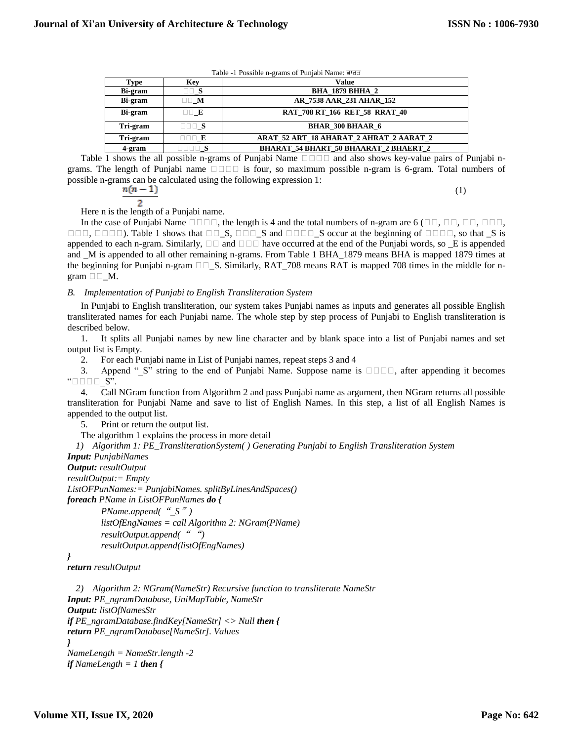(1)

| Table -1 Possible n-grams of Punjabi Name: ਭਾਰਤ |  |
|-------------------------------------------------|--|
|-------------------------------------------------|--|

| Type     | Key                      | Value                                        |  |  |
|----------|--------------------------|----------------------------------------------|--|--|
| Bi-gram  | $\Box\Box S$             | <b>BHA 1879 BHHA 2</b>                       |  |  |
| Bi-gram  | $\square \square$ M      | AR 7538 AAR 231 AHAR 152                     |  |  |
| Bi-gram  | II E                     | RAT 708 RT 166 RET 58 RRAT 40                |  |  |
| Tri-gram | $\Box$ $\Box$ $S$        | <b>BHAR 300 BHAAR 6</b>                      |  |  |
| Tri-gram |                          | ARAT 52 ART 18 AHARAT 2 AHRAT 2 AARAT 2      |  |  |
| 4-gram   | $\Box$ $\Box$ $\Box$ $S$ | <b>BHARAT 54 BHART 50 BHAARAT 2 BHAERT 2</b> |  |  |
|          |                          |                                              |  |  |

Table 1 shows the all possible n-grams of Punjabi Name  $\Box$  $\Box$  and also shows key-value pairs of Punjabi ngrams. The length of Punjabi name  $\square \square \square \square$  is four, so maximum possible n-gram is 6-gram. Total numbers of possible n-grams can be calculated using the following expression 1:

$$
\frac{n(n-1)}{2}
$$

Here n is the length of a Punjabi name.

In the case of Punjabi Name  $\Box$  $\Box$  $\Box$ , the length is 4 and the total numbers of n-gram are 6 ( $\Box$  $\Box$ ,  $\Box$  $\Box$ ,  $\Box$  $\Box$ ,  $\Box$  $\Box$ ).  $\Box$  $\Box$ ,  $\Box$  $\Box$  $\Box$ ). Table 1 shows that  $\Box$  $\Box$   $\Box$ ,  $\Box$   $\Box$   $\Box$  and  $\Box$  $\Box$  $\Box$  so ccur at the beginning of  $\Box$  $\Box$  $\Box$ , so that  $\Box$  is appended to each n-gram. Similarly,  $\Box \Box$  and  $\Box \Box \Box$  have occurred at the end of the Punjabi words, so  $\Box$  is appended and \_M is appended to all other remaining n-grams. From Table 1 BHA\_1879 means BHA is mapped 1879 times at the beginning for Punjabi n-gram  $\Box \Box S$ . Similarly, RAT\_708 means RAT is mapped 708 times in the middle for ngram  $\square \square$  M.

#### *B. Implementation of Punjabi to English Transliteration System*

In Punjabi to English transliteration, our system takes Punjabi names as inputs and generates all possible English transliterated names for each Punjabi name. The whole step by step process of Punjabi to English transliteration is described below.

1. It splits all Punjabi names by new line character and by blank space into a list of Punjabi names and set output list is Empty.

2. For each Punjabi name in List of Punjabi names, repeat steps 3 and 4

3. Append "\_S" string to the end of Punjabi Name. Suppose name is  $\square \square \square \square$ , after appending it becomes " $\square$  $\square$  $\square$  $\simeq$ ".

4. Call NGram function from Algorithm 2 and pass Punjabi name as argument, then NGram returns all possible transliteration for Punjabi Name and save to list of English Names. In this step, a list of all English Names is appended to the output list.

5. Print or return the output list.

The algorithm 1 explains the process in more detail

*1) Algorithm 1: PE\_TransliterationSystem( ) Generating Punjabi to English Transliteration System*

*Input: PunjabiNames*

```
Output: resultOutput
resultOutput:= Empty
ListOFPunNames:= PunjabiNames. splitByLinesAndSpaces()
foreach PName in ListOFPunNames do {
        PName.append("_S")
        listOfEngNames = call Algorithm 2: NGram(PName)
```
*resultOutput.append(*" "*) resultOutput.append(listOfEngNames)*

```
}
```
*return resultOutput*

```
2) Algorithm 2: NGram(NameStr) Recursive function to transliterate NameStr
Input: PE_ngramDatabase, UniMapTable, NameStr
Output: listOfNamesStr
if PE_ngramDatabase.findKey[NameStr] <> Null then {
return PE_ngramDatabase[NameStr]. Values
}
NameLength = NameStr.length -2
if NameLength = 1 then {
```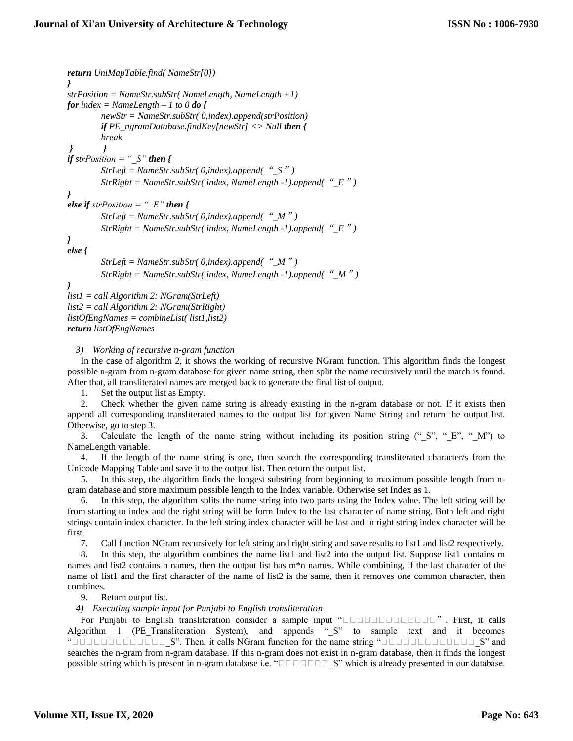```
return UniMapTable.find( NameStr[0])
}
strPosition = NameStr.subStr( NameLength, NameLength +1)
for index = NameLength – 1 to 0 do {
        newStr = NameStr.subStr( 0,index).append(strPosition)
         if PE_ngramDatabase.findKey[newStr] <> Null then {
        break
         } }
if strPosition = "_S" then {
        StrLeft = NameStr.subStr( 0,index).append("_S")
        StrRight = NameStr.subStr( index, NameLength -1).append("_E")
}
else if strPosition = "E" then {
         StrLeft = NameStr.subStr( 0,index).append("_M")
         StrRight = NameStr.subStr( index, NameLength -1).append("_E")
}
else {
        StrLeft = NameStr.subStr( 0,index).append("_M")
        StrRight = NameStr.subStr( index, NameLength -1).append("_M") 
}
list1 = call Algorithm 2: NGram(StrLeft)
list2 = call Algorithm 2: NGram(StrRight)
listOfEngNames = combineList( list1,list2)
return listOfEngNames
```
*3) Working of recursive n-gram function*

In the case of algorithm 2, it shows the working of recursive NGram function. This algorithm finds the longest possible n-gram from n-gram database for given name string, then split the name recursively until the match is found. After that, all transliterated names are merged back to generate the final list of output.

1. Set the output list as Empty.

2. Check whether the given name string is already existing in the n-gram database or not. If it exists then append all corresponding transliterated names to the output list for given Name String and return the output list. Otherwise, go to step 3.

3. Calculate the length of the name string without including its position string (" $S''$ , " $E''$ , " $M''$ ") to NameLength variable.

4. If the length of the name string is one, then search the corresponding transliterated character/s from the Unicode Mapping Table and save it to the output list. Then return the output list.

5. In this step, the algorithm finds the longest substring from beginning to maximum possible length from ngram database and store maximum possible length to the Index variable. Otherwise set Index as 1.

6. In this step, the algorithm splits the name string into two parts using the Index value. The left string will be from starting to index and the right string will be form Index to the last character of name string. Both left and right strings contain index character. In the left string index character will be last and in right string index character will be first.

7. Call function NGram recursively for left string and right string and save results to list1 and list2 respectively.

8. In this step, the algorithm combines the name list1 and list2 into the output list. Suppose list1 contains m names and list2 contains n names, then the output list has m\*n names. While combining, if the last character of the name of list1 and the first character of the name of list2 is the same, then it removes one common character, then combines.

9. Return output list.

*4) Executing sample input for Punjabi to English transliteration*

For Punjabi to English transliteration consider a sample input " $\square$  $\square$  $\square$  $\square$  $\square$  $\square$  $\square$  $\square$  $\square$  $\blacksquare$ ". First, it calls Algorithm 1 (PE\_Transliteration System), and appends "\_S" to sample text and it becomes "ਬਬਬਬਬਬਬਬਬਬਬਬਬ\_S". Then, it calls NGram function for the name string "ਬਬਬਬਬਬਬਬਬਬਬਬਬ\_S" and searches the n-gram from n-gram database. If this n-gram does not exist in n-gram database, then it finds the longest possible string which is present in n-gram database i.e. "ਬਬਬਬਬਬਬ\_S" which is already presented in our database.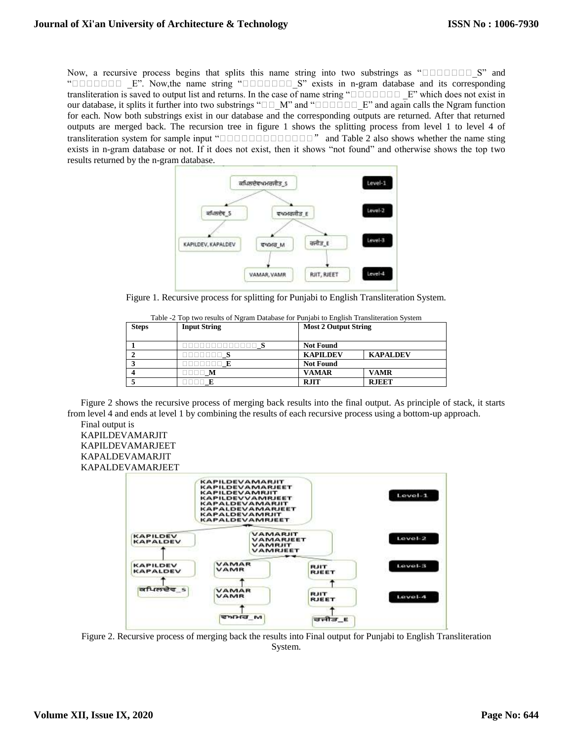Now, a recursive process begins that splits this name string into two substrings as "ਬਬਬਬਬਬਬ\_S" and "**Baseman Lives Lives**". Now, the name string "Baseman Lives 2" exists in n-gram database and its corresponding transliteration is saved to output list and returns. In the case of name string " $\Box$  $\Box$  $\Box$  $\Box$  $\Box$  $\Box$  $\Box$ " which does not exist in our database, it splits it further into two substrings " $\square \square \blacksquare M$ " and " $\square \square \square \square \square \square \square \square$ " and again calls the Ngram function for each. Now both substrings exist in our database and the corresponding outputs are returned. After that returned outputs are merged back. The recursion tree in figure 1 shows the splitting process from level 1 to level 4 of transliteration system for sample input "**BEB**Base and Table 2 also shows whether the name sting exists in n-gram database or not. If it does not exist, then it shows "not found" and otherwise shows the top two results returned by the n-gram database.



Figure 1. Recursive process for splitting for Punjabi to English Transliteration System.

| <b>Steps</b> | <b>Input String</b>                 | <b>Most 2 Output String</b> |                 |
|--------------|-------------------------------------|-----------------------------|-----------------|
|              | 100000000000 S                      | <b>Not Found</b>            |                 |
|              | $\Box$ $\Box$ $\Box$ $\Box$ $\bf S$ | <b>KAPILDEV</b>             | <b>KAPALDEV</b> |
|              |                                     | <b>Not Found</b>            |                 |
|              | $\Box\Box\Box\Box$ $\bf M$          | <b>VAMAR</b>                | <b>VAMR</b>     |
|              |                                     | <b>RJIT</b>                 | <b>RJEET</b>    |

| Table -2 Top two results of Ngram Database for Punjabi to English Transliteration System |  |  |
|------------------------------------------------------------------------------------------|--|--|

Figure 2 shows the recursive process of merging back results into the final output. As principle of stack, it starts from level 4 and ends at level 1 by combining the results of each recursive process using a bottom-up approach. Final output is

KAPILDEVAMARJIT KAPILDEVAMARJEET KAPALDEVAMARJIT KAPALDEVAMARJEET



Figure 2. Recursive process of merging back the results into Final output for Punjabi to English Transliteration System.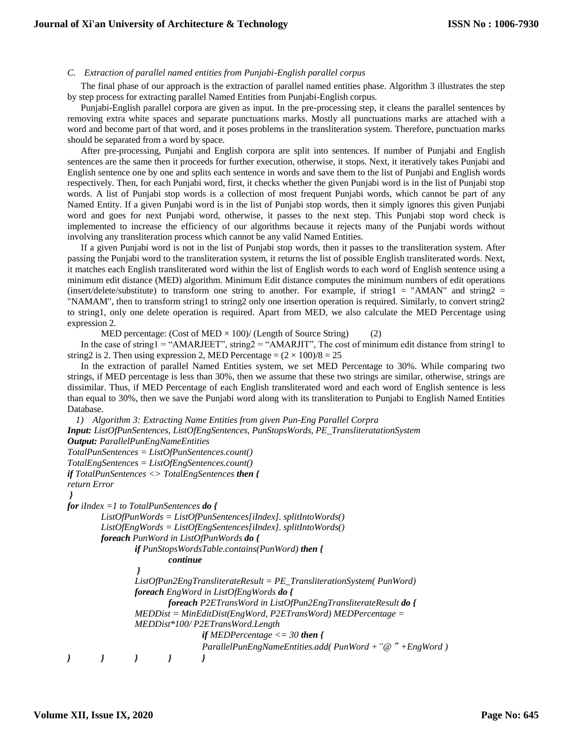#### *C. Extraction of parallel named entities from Punjabi-English parallel corpus*

The final phase of our approach is the extraction of parallel named entities phase. Algorithm 3 illustrates the step by step process for extracting parallel Named Entities from Punjabi-English corpus.

Punjabi-English parallel corpora are given as input. In the pre-processing step, it cleans the parallel sentences by removing extra white spaces and separate punctuations marks. Mostly all punctuations marks are attached with a word and become part of that word, and it poses problems in the transliteration system. Therefore, punctuation marks should be separated from a word by space.

After pre-processing, Punjabi and English corpora are split into sentences. If number of Punjabi and English sentences are the same then it proceeds for further execution, otherwise, it stops. Next, it iteratively takes Punjabi and English sentence one by one and splits each sentence in words and save them to the list of Punjabi and English words respectively. Then, for each Punjabi word, first, it checks whether the given Punjabi word is in the list of Punjabi stop words. A list of Punjabi stop words is a collection of most frequent Punjabi words, which cannot be part of any Named Entity. If a given Punjabi word is in the list of Punjabi stop words, then it simply ignores this given Punjabi word and goes for next Punjabi word, otherwise, it passes to the next step. This Punjabi stop word check is implemented to increase the efficiency of our algorithms because it rejects many of the Punjabi words without involving any transliteration process which cannot be any valid Named Entities.

If a given Punjabi word is not in the list of Punjabi stop words, then it passes to the transliteration system. After passing the Punjabi word to the transliteration system, it returns the list of possible English transliterated words. Next, it matches each English transliterated word within the list of English words to each word of English sentence using a minimum edit distance (MED) algorithm. Minimum Edit distance computes the minimum numbers of edit operations (insert/delete/substitute) to transform one string to another. For example, if string1 = "AMAN" and string2 = "NAMAM", then to transform string1 to string2 only one insertion operation is required. Similarly, to convert string2 to string1, only one delete operation is required. Apart from MED, we also calculate the MED Percentage using expression 2.

MED percentage: (Cost of MED  $\times$  100)/ (Length of Source String) (2)

In the case of string1 = "AMARJEET", string2 = "AMARJIT", The cost of minimum edit distance from string1 to string2 is 2. Then using expression 2, MED Percentage =  $(2 \times 100)/8 = 25$ 

In the extraction of parallel Named Entities system, we set MED Percentage to 30%. While comparing two strings, if MED percentage is less than 30%, then we assume that these two strings are similar, otherwise, strings are dissimilar. Thus, if MED Percentage of each English transliterated word and each word of English sentence is less than equal to 30%, then we save the Punjabi word along with its transliteration to Punjabi to English Named Entities Database.

```
1) Algorithm 3: Extracting Name Entities from given Pun-Eng Parallel Corpra
Input: ListOfPunSentences, ListOfEngSentences, PunStopsWords, PE_TransliteratationSystem
Output: ParallelPunEngNameEntities
TotalPunSentences = ListOfPunSentences.count()
TotalEngSentences = ListOfEngSentences.count()
if TotalPunSentences <> TotalEngSentences then {
return Error
 }
for iIndex =1 to TotalPunSentences do {
        ListOfPunWords = ListOfPunSentences[iIndex]. splitIntoWords()
        ListOfEngWords = ListOfEngSentences[iIndex]. splitIntoWords()
        foreach PunWord in ListOfPunWords do {
                if PunStopsWordsTable.contains(PunWord) then {
                        continue
                 }
                ListOfPun2EngTransliterateResult = PE_TransliterationSystem( PunWord)
                foreach EngWord in ListOfEngWords do {
                        foreach P2ETransWord in ListOfPun2EngTransliterateResult do {
                MEDDist = MinEditDist(EngWord, P2ETransWord) MEDPercentage =
                MEDDist*100/ P2ETransWord.Length 
                                if MEDPercentage <= 30 then {
                                ParallelPunEngNameEntities.add( PunWord +"@"+EngWord )
} } } } }
```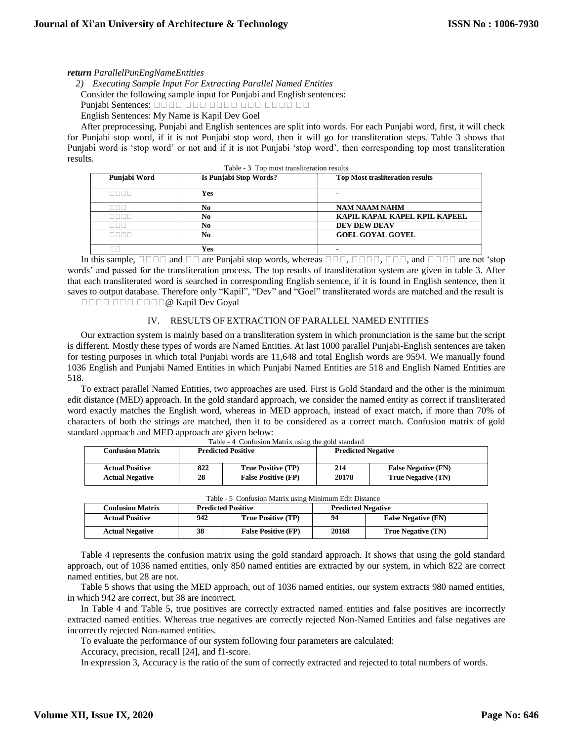#### *return ParallelPunEngNameEntities*

*2) Executing Sample Input For Extracting Parallel Named Entities* Consider the following sample input for Punjabi and English sentences:

Punjabi Sentences: **adaa aadaa aadaa aadaa** aad

English Sentences: My Name is Kapil Dev Goel

After preprocessing, Punjabi and English sentences are split into words. For each Punjabi word, first, it will check for Punjabi stop word, if it is not Punjabi stop word, then it will go for transliteration steps. Table 3 shows that Punjabi word is 'stop word' or not and if it is not Punjabi 'stop word', then corresponding top most transliteration results.

| Table - 3 Top most transliteration results |                        |                                        |  |  |  |
|--------------------------------------------|------------------------|----------------------------------------|--|--|--|
| Punjabi Word                               | Is Punjabi Stop Words? | <b>Top Most trasliteration results</b> |  |  |  |
| nnnn                                       | Yes                    |                                        |  |  |  |
| 88 B B                                     | No                     | <b>NAM NAAM NAHM</b>                   |  |  |  |
| 8888                                       | No                     | KAPIL KAPAL KAPEL KPIL KAPEEL          |  |  |  |
| 000                                        | No                     | <b>DEV DEW DEAV</b>                    |  |  |  |
| nnnn                                       | No                     | <b>GOEL GOYAL GOYEL</b>                |  |  |  |
|                                            | Yes                    |                                        |  |  |  |

In this sample,  $\Box$  $\Box$  $\Box$  and  $\Box$  $\Box$  are Punjabi stop words, whereas  $\Box$  $\Box$  $\Box$ ,  $\Box$  $\Box$  $\Box$ , and  $\Box$  $\Box$  $\Box$  are not 'stop words' and passed for the transliteration process. The top results of transliteration system are given in table 3. After that each transliterated word is searched in corresponding English sentence, if it is found in English sentence, then it saves to output database. Therefore only "Kapil", "Dev" and "Goel" transliterated words are matched and the result is ਬਬਬਬ ਬਬਬ ਬਬਬਬ@ Kapil Dev Goyal

#### IV. RESULTS OF EXTRACTION OF PARALLEL NAMED ENTITIES

Our extraction system is mainly based on a transliteration system in which pronunciation is the same but the script is different. Mostly these types of words are Named Entities. At last 1000 parallel Punjabi-English sentences are taken for testing purposes in which total Punjabi words are 11,648 and total English words are 9594. We manually found 1036 English and Punjabi Named Entities in which Punjabi Named Entities are 518 and English Named Entities are 518.

To extract parallel Named Entities, two approaches are used. First is Gold Standard and the other is the minimum edit distance (MED) approach. In the gold standard approach, we consider the named entity as correct if transliterated word exactly matches the English word, whereas in MED approach, instead of exact match, if more than 70% of characters of both the strings are matched, then it to be considered as a correct match. Confusion matrix of gold standard approach and MED approach are given below: Table - 4 Confusion Matrix using the gold standard

| <b>Confusion Matrix</b> | <b>Predicted Positive</b>        |                            | 10010<br>comagion maans aging the gold standard<br><b>Predicted Negative</b> |                            |  |
|-------------------------|----------------------------------|----------------------------|------------------------------------------------------------------------------|----------------------------|--|
| <b>Actual Positive</b>  | 822<br><b>True Positive (TP)</b> |                            | 214                                                                          | <b>False Negative (FN)</b> |  |
| <b>Actual Negative</b>  | 28                               | <b>False Positive (FP)</b> | 20178                                                                        | True Negative (TN)         |  |

| ኅ0 | <b>False Positive (FP)</b> | 20178 | <b>True Negativ</b> |
|----|----------------------------|-------|---------------------|
|    |                            |       |                     |

| <b>Table - 3</b> Confusion Matrix using Minimum Edit Distance |                           |                            |                           |                            |
|---------------------------------------------------------------|---------------------------|----------------------------|---------------------------|----------------------------|
| <b>Confusion Matrix</b>                                       | <b>Predicted Positive</b> |                            | <b>Predicted Negative</b> |                            |
| <b>Actual Positive</b>                                        | 942                       | <b>True Positive (TP)</b>  | 94                        | <b>False Negative (FN)</b> |
| <b>Actual Negative</b>                                        | 38                        | <b>False Positive (FP)</b> | 20168                     | True Negative (TN)         |

| Table - 5 Confusion Matrix using Minimum Edit Distance |  |  |  |
|--------------------------------------------------------|--|--|--|
|                                                        |  |  |  |

Table 4 represents the confusion matrix using the gold standard approach. It shows that using the gold standard approach, out of 1036 named entities, only 850 named entities are extracted by our system, in which 822 are correct named entities, but 28 are not.

Table 5 shows that using the MED approach, out of 1036 named entities, our system extracts 980 named entities, in which 942 are correct, but 38 are incorrect.

In Table 4 and Table 5, true positives are correctly extracted named entities and false positives are incorrectly extracted named entities. Whereas true negatives are correctly rejected Non-Named Entities and false negatives are incorrectly rejected Non-named entities.

To evaluate the performance of our system following four parameters are calculated:

Accuracy, precision, recall [24], and f1-score.

In expression 3, Accuracy is the ratio of the sum of correctly extracted and rejected to total numbers of words.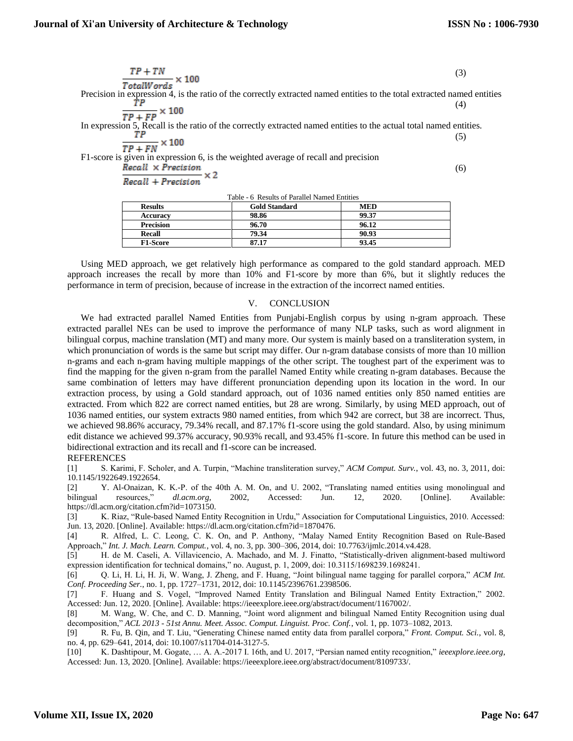(6)

$$
\frac{TP + TN}{TotalWords} \times 100\tag{3}
$$

Precision in expression 4, is the ratio of the correctly extracted named entities to the total extracted named entities TР (4)

$$
\frac{TP + FP}{TP + FP} \times 100
$$

In expression 5, Recall is the ratio of the correctly extracted named entities to the actual total named entities. ТP (5)  $-1400$ 

$$
\frac{TP + FN}{TP + FN} \times 100
$$

F1-score is given in expression 6, is the weighted average of recall and precision  $Recall \times Precision$ 

Recall + Precision

Table - 6 Results of Parallel Named Entities

| <b>Results</b>   | <b>Gold Standard</b> | <b>MED</b> |
|------------------|----------------------|------------|
| <b>Accuracy</b>  | 98.86                | 99.37      |
| <b>Precision</b> | 96.70                | 96.12      |
| Recall           | 79.34                | 90.93      |
| <b>F1-Score</b>  | 87.17                | 93.45      |
|                  |                      |            |

Using MED approach, we get relatively high performance as compared to the gold standard approach. MED approach increases the recall by more than 10% and F1-score by more than 6%, but it slightly reduces the performance in term of precision, because of increase in the extraction of the incorrect named entities.

#### V. CONCLUSION

We had extracted parallel Named Entities from Punjabi-English corpus by using n-gram approach. These extracted parallel NEs can be used to improve the performance of many NLP tasks, such as word alignment in bilingual corpus, machine translation (MT) and many more. Our system is mainly based on a transliteration system, in which pronunciation of words is the same but script may differ. Our n-gram database consists of more than 10 million n-grams and each n-gram having multiple mappings of the other script. The toughest part of the experiment was to find the mapping for the given n-gram from the parallel Named Entity while creating n-gram databases. Because the same combination of letters may have different pronunciation depending upon its location in the word. In our extraction process, by using a Gold standard approach, out of 1036 named entities only 850 named entities are extracted. From which 822 are correct named entities, but 28 are wrong. Similarly, by using MED approach, out of 1036 named entities, our system extracts 980 named entities, from which 942 are correct, but 38 are incorrect. Thus, we achieved 98.86% accuracy, 79.34% recall, and 87.17% f1-score using the gold standard. Also, by using minimum edit distance we achieved 99.37% accuracy, 90.93% recall, and 93.45% f1-score. In future this method can be used in bidirectional extraction and its recall and f1-score can be increased.

## **REFERENCES**

[1] S. Karimi, F. Scholer, and A. Turpin, "Machine transliteration survey," *ACM Comput. Surv.*, vol. 43, no. 3, 2011, doi: 10.1145/1922649.1922654.

[2] Y. Al-Onaizan, K. K.-P. of the 40th A. M. On, and U. 2002, "Translating named entities using monolingual and bilingual resources," *dl.acm.org*, 2002, Accessed: Jun. 12, 2020. [Online]. Available: https://dl.acm.org/citation.cfm?id=1073150.

[3] K. Riaz, "Rule-based Named Entity Recognition in Urdu," Association for Computational Linguistics, 2010. Accessed: Jun. 13, 2020. [Online]. Available: https://dl.acm.org/citation.cfm?id=1870476.

[4] R. Alfred, L. C. Leong, C. K. On, and P. Anthony, "Malay Named Entity Recognition Based on Rule-Based Approach," *Int. J. Mach. Learn. Comput.*, vol. 4, no. 3, pp. 300–306, 2014, doi: 10.7763/ijmlc.2014.v4.428.

[5] H. de M. Caseli, A. Villavicencio, A. Machado, and M. J. Finatto, "Statistically-driven alignment-based multiword expression identification for technical domains," no. August, p. 1, 2009, doi: 10.3115/1698239.1698241.

[6] Q. Li, H. Li, H. Ji, W. Wang, J. Zheng, and F. Huang, "Joint bilingual name tagging for parallel corpora," *ACM Int. Conf. Proceeding Ser.*, no. 1, pp. 1727–1731, 2012, doi: 10.1145/2396761.2398506.

[7] F. Huang and S. Vogel, "Improved Named Entity Translation and Bilingual Named Entity Extraction," 2002. Accessed: Jun. 12, 2020. [Online]. Available: https://ieeexplore.ieee.org/abstract/document/1167002/.

[8] M. Wang, W. Che, and C. D. Manning, "Joint word alignment and bilingual Named Entity Recognition using dual decomposition," *ACL 2013 - 51st Annu. Meet. Assoc. Comput. Linguist. Proc. Conf.*, vol. 1, pp. 1073–1082, 2013.

[9] R. Fu, B. Qin, and T. Liu, "Generating Chinese named entity data from parallel corpora," *Front. Comput. Sci.*, vol. 8, no. 4, pp. 629–641, 2014, doi: 10.1007/s11704-014-3127-5.

[10] K. Dashtipour, M. Gogate, … A. A.-2017 I. 16th, and U. 2017, "Persian named entity recognition," *ieeexplore.ieee.org*, Accessed: Jun. 13, 2020. [Online]. Available: https://ieeexplore.ieee.org/abstract/document/8109733/.